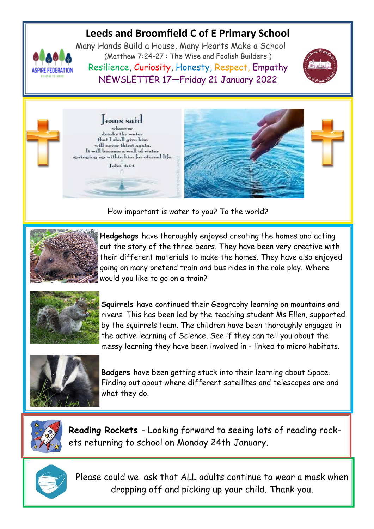# **Leeds and Broomfield C of E Primary School**



Many Hands Build a House, Many Hearts Make a School (Matthew 7:24-27 : The Wise and Foolish Builders ) Resilience, Curiosity, Honesty, Respect, Empathy NEWSLETTER 17—Friday 21 January 2022







How important is water to you? To the world?



**Hedgehogs** have thoroughly enjoyed creating the homes and acting out the story of the three bears. They have been very creative with their different materials to make the homes. They have also enjoyed going on many pretend train and bus rides in the role play. Where would you like to go on a train?



**Squirrels** have continued their Geography learning on mountains and rivers. This has been led by the teaching student Ms Ellen, supported by the squirrels team. The children have been thoroughly engaged in the active learning of Science. See if they can tell you about the messy learning they have been involved in - linked to micro habitats.



**Badgers** have been getting stuck into their learning about Space. Finding out about where different satellites and telescopes are and what they do.



**Reading Rockets** - Looking forward to seeing lots of reading rockets returning to school on Monday 24th January.



Please could we ask that ALL adults continue to wear a mask when dropping off and picking up your child. Thank you.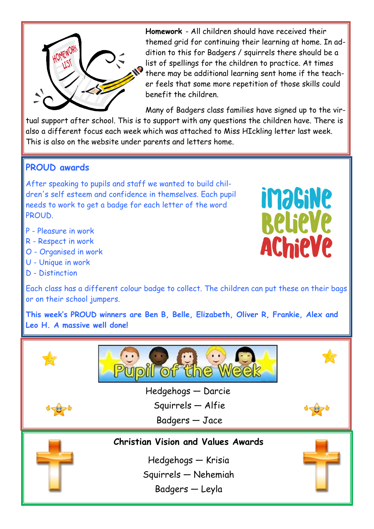

**Homework** - All children should have received their themed grid for continuing their learning at home. In addition to this for Badgers / squirrels there should be a list of spellings for the children to practice. At times there may be additional learning sent home if the teacher feels that some more repetition of those skills could benefit the children.

Many of Badgers class families have signed up to the vir-

**imagine** 

**BelieVe** 

**AChieVe** 

tual support after school. This is to support with any questions the children have. There is also a different focus each week which was attached to Miss HIckling letter last week. This is also on the website under parents and letters home.

### **PROUD awards**

After speaking to pupils and staff we wanted to build children's self esteem and confidence in themselves. Each pupil needs to work to get a badge for each letter of the word PROUD.

- P Pleasure in work
- R Respect in work
- O Organised in work
- U Unique in work
- D Distinction



**This week's PROUD winners are Ben B, Belle, Elizabeth, Oliver R, Frankie, Alex and Leo H. A massive well done!**

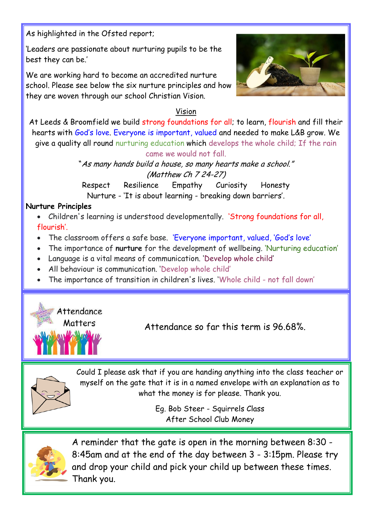As highlighted in the Ofsted report;

'Leaders are passionate about nurturing pupils to be the best they can be.'

We are working hard to become an accredited nurture school. Please see below the six nurture principles and how they are woven through our school Christian Vision.



### Vision

At Leeds & Broomfield we build strong foundations for all; to learn, flourish and fill their hearts with God's love. Everyone is important, valued and needed to make L&B grow. We give a quality all round nurturing education which develops the whole child; If the rain came we would not fall.

> "As many hands build a house, so many hearts make a school." (Matthew Ch 7 24-27)

Respect Resilience Empathy Curiosity Honesty Nurture - 'It is about learning - breaking down barriers'.

### **Nurture Principles**

- Children's learning is understood developmentally. 'Strong foundations for all, flourish'.
- The classroom offers a safe base. 'Everyone important, valued, 'God's love'
- The importance of **nurture** for the development of wellbeing. 'Nurturing education'
- Language is a vital means of communication. 'Develop whole child'
- All behaviour is communication. 'Develop whole child'
- The importance of transition in children's lives. 'Whole child not fall down'



Attendance so far this term is 96.68%.



Could I please ask that if you are handing anything into the class teacher or myself on the gate that it is in a named envelope with an explanation as to what the money is for please. Thank you.

> Eg. Bob Steer - Squirrels Class After School Club Money



A reminder that the gate is open in the morning between 8:30 - 8:45am and at the end of the day between 3 - 3:15pm. Please try and drop your child and pick your child up between these times. Thank you.